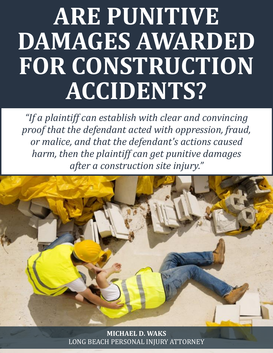# Barbara M. Pizzolato, P.A. **ARE PUNITIVE DAMAGES AWARDED FOR CONSTRUCTION ACCIDENTS?**

*"If a plaintiff can establish with clear and convincing proof that the defendant acted with oppression, fraud, or malice, and that the defendant's actions caused harm, then the plaintiff can get punitive damages after a construction site injury."*



**MICHAEL D. WAKS** [LONG BEACH PERSONAL INJURY ATTORNEY](http://www.michaelwaks.com/)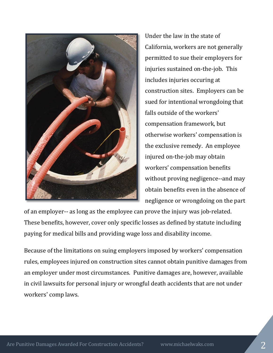

Under the law in the state of California, workers are not generally permitted to sue their employers for injuries sustained on-the-job. This includes injuries occuring at construction sites. Employers can be sued for intentional wrongdoing that falls outside of the workers' compensation framework, but otherwise workers' compensation is the exclusive remedy. An employee injured on-the-job may obtain workers' compensation benefits without proving negligence--and may obtain benefits even in the absence of negligence or wrongdoing on the part

of an employer-- as long as the employee can prove the injury was job-related. These benefits, however, cover only specific losses as defined by statute including paying for medical bills and providing wage loss and disability income.

Because of the limitations on suing employers imposed by workers' compensation rules, employees injured on construction sites cannot obtain punitive damages from an employer under most circumstances. Punitive damages are, however, available in civil lawsuits for personal injury or wrongful death accidents that are not under workers' comp laws.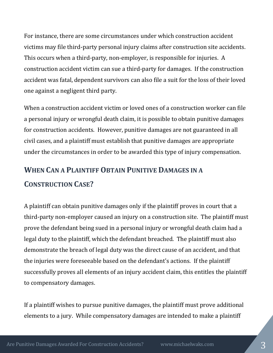For instance, there are some circumstances under which construction accident victims may file third-party personal injury claims after construction site accidents. This occurs when a third-party, non-employer, is responsible for injuries. A construction accident victim can sue a third-party for damages. If the construction accident was fatal, dependent survivors can also file a suit for the loss of their loved one against a negligent third party.

When a construction accident victim or loved ones of a construction worker can file a personal injury or wrongful death claim, it is possible to obtain punitive damages for construction accidents. However, punitive damages are not guaranteed in all civil cases, and a plaintiff must establish that punitive damages are appropriate under the circumstances in order to be awarded this type of injury compensation.

### **WHEN CAN A PLAINTIFF OBTAIN PUNITIVE DAMAGES IN A CONSTRUCTION CASE?**

A plaintiff can obtain punitive damages only if the plaintiff proves in court that a third-party non-employer caused an injury on a construction site. The plaintiff must prove the defendant being sued in a personal injury or wrongful death claim had a legal duty to the plaintiff, which the defendant breached. The plaintiff must also demonstrate the breach of legal duty was the direct cause of an accident, and that the injuries were foreseeable based on the defendant's actions. If the plaintiff successfully proves all elements of an injury accident claim, this entitles the plaintiff to compensatory damages.

If a plaintiff wishes to pursue punitive damages, the plaintiff must prove additional elements to a jury. While compensatory damages are intended to make a plaintiff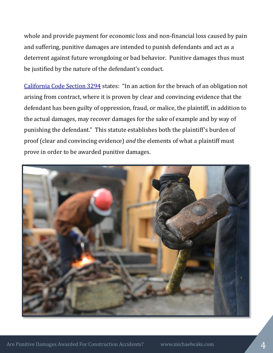whole and provide payment for economic loss and non-financial loss caused by pain and suffering, punitive damages are intended to punish defendants and act as a deterrent against future wrongdoing or bad behavior. Punitive damages thus must be justified by the nature of the defendant's conduct.

[California Code Section 3294](http://www.leginfo.ca.gov/cgi-bin/displaycode?section=civ&group=03001-04000&file=3294-3296) states: "In an action for the breach of an obligation not arising from contract, where it is proven by clear and convincing evidence that the defendant has been guilty of oppression, fraud, or malice, the plaintiff, in addition to the actual damages, may recover damages for the sake of example and by way of punishing the defendant." This statute establishes both the plaintiff's burden of proof (clear and convincing evidence) *and* the elements of what a plaintiff must prove in order to be awarded punitive damages.

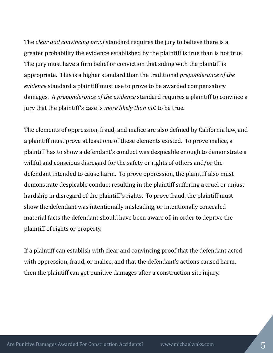The *clear and convincing proof* standard requires the jury to believe there is a greater probability the evidence established by the plaintiff is true than is not true. The jury must have a firm belief or conviction that siding with the plaintiff is appropriate. This is a higher standard than the traditional *preponderance of the evidence* standard a plaintiff must use to prove to be awarded compensatory damages. A *preponderance of the evidence* standard requires a plaintiff to convince a jury that the plaintiff's case is *more likely than not* to be true.

The elements of oppression, fraud, and malice are also defined by California law, and a plaintiff must prove at least one of these elements existed. To prove malice, a plaintiff has to show a defendant's conduct was despicable enough to demonstrate a willful and conscious disregard for the safety or rights of others and/or the defendant intended to cause harm. To prove oppression, the plaintiff also must demonstrate despicable conduct resulting in the plaintiff suffering a cruel or unjust hardship in disregard of the plaintiff's rights. To prove fraud, the plaintiff must show the defendant was intentionally misleading, or intentionally concealed material facts the defendant should have been aware of, in order to deprive the plaintiff of rights or property.

If a plaintiff can establish with clear and convincing proof that the defendant acted with oppression, fraud, or malice, and that the defendant's actions caused harm, then the plaintiff can get punitive damages after a construction site injury.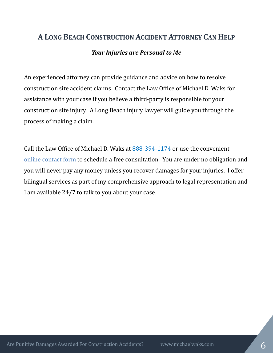## **A LONG BEACH CONSTRUCTION ACCIDENT ATTORNEY CAN HELP** *Your Injuries are Personal to Me*

An experienced attorney can provide guidance and advice on how to resolve construction site accident claims. Contact the Law Office of Michael D. Waks for assistance with your case if you believe a third-party is responsible for your construction site injury. A Long Beach injury lawyer will guide you through the process of making a claim.

Call the Law Office of Michael D. Waks at [888-394-1174](tel:8883941174) or use the convenient online [contact form](http://www.michaelwaks.com/contact/) to schedule a free consultation. You are under no obligation and you will never pay any money unless you recover damages for your injuries. I offer bilingual services as part of my comprehensive approach to legal representation and I am available 24/7 to talk to you about your case.